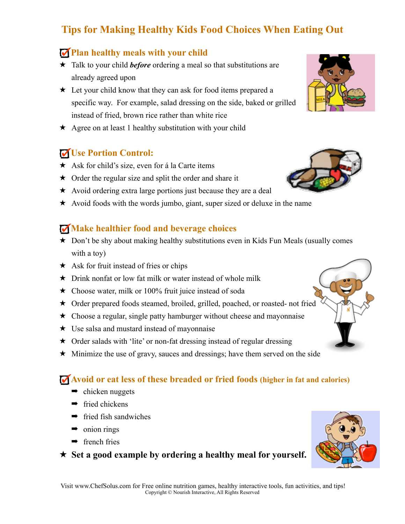# **Tips for Making Healthy Kids Food Choices When Eating Out**

## **Plan healthy meals with your child**

- ★ Talk to your child *before* ordering a meal so that substitutions are already agreed upon
- ★ Let your child know that they can ask for food items prepared a specific way. For example, salad dressing on the side, baked or grilled instead of fried, brown rice rather than white rice
- $\star$  Agree on at least 1 healthy substitution with your child

## **Use Portion Control:**

- ★ Ask for child's size, even for á la Carte items
- $\star$  Order the regular size and split the order and share it
- $\star$  Avoid ordering extra large portions just because they are a deal
- ★ Avoid foods with the words jumbo, giant, super sized or deluxe in the name

## **Make healthier food and beverage choices**

- $\star$  Don't be shy about making healthy substitutions even in Kids Fun Meals (usually comes with a toy)
- $\star$  Ask for fruit instead of fries or chips
- $\star$  Drink nonfat or low fat milk or water instead of whole milk
- ★ Choose water, milk or 100% fruit juice instead of soda
- ★ Order prepared foods steamed, broiled, grilled, poached, or roasted- not fried
- ★ Choose a regular, single patty hamburger without cheese and mayonnaise
- ★ Use salsa and mustard instead of mayonnaise
- ★ Order salads with 'lite' or non-fat dressing instead of regular dressing
- ★ Minimize the use of gravy, sauces and dressings; have them served on the side

### **Avoid or eat less of these breaded or fried foods (higher in fat and calories)**

- $\rightarrow$  chicken nuggets
- $\rightarrow$  fried chickens
- $\rightarrow$  fried fish sandwiches
- $\rightarrow$  onion rings
- $\rightarrow$  french fries

★ **Set a good example by ordering a healthy meal for yourself.**